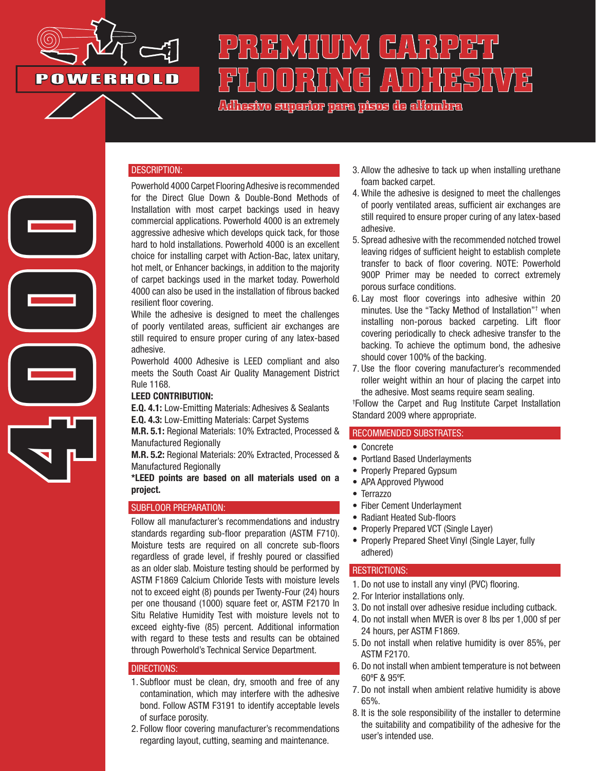

**4000**

# **PREMIUM CARPET**  (FLAVO) HASHAVA <del>2</del>

**Adhesivo superior para pisos de alfombra**

#### DESCRIPTION:

Powerhold 4000 Carpet Flooring Adhesive is recommended for the Direct Glue Down & Double-Bond Methods of Installation with most carpet backings used in heavy commercial applications. Powerhold 4000 is an extremely aggressive adhesive which develops quick tack, for those hard to hold installations. Powerhold 4000 is an excellent choice for installing carpet with Action-Bac, latex unitary, hot melt, or Enhancer backings, in addition to the majority of carpet backings used in the market today. Powerhold 4000 can also be used in the installation of fibrous backed resilient floor covering.

While the adhesive is designed to meet the challenges of poorly ventilated areas, sufficient air exchanges are still required to ensure proper curing of any latex-based adhesive.

Powerhold 4000 Adhesive is LEED compliant and also meets the South Coast Air Quality Management District Rule 1168.

#### LEED CONTRIBUTION:

E.Q. 4.1: Low-Emitting Materials: Adhesives & Sealants E.Q. 4.3: Low-Emitting Materials: Carpet Systems

M.R. 5.1: Regional Materials: 10% Extracted, Processed & Manufactured Regionally

M.R. 5.2: Regional Materials: 20% Extracted, Processed & Manufactured Regionally

\*LEED points are based on all materials used on a project.

#### SUBFLOOR PREPARATION:

Follow all manufacturer's recommendations and industry standards regarding sub-floor preparation (ASTM F710). Moisture tests are required on all concrete sub-floors regardless of grade level, if freshly poured or classified as an older slab. Moisture testing should be performed by ASTM F1869 Calcium Chloride Tests with moisture levels not to exceed eight (8) pounds per Twenty-Four (24) hours per one thousand (1000) square feet or, ASTM F2170 In Situ Relative Humidity Test with moisture levels not to exceed eighty-five (85) percent. Additional information with regard to these tests and results can be obtained through Powerhold's Technical Service Department.

#### DIRECTIONS:

- 1. Subfloor must be clean, dry, smooth and free of any contamination, which may interfere with the adhesive bond. Follow ASTM F3191 to identify acceptable levels of surface porosity.
- 2. Follow floor covering manufacturer's recommendations regarding layout, cutting, seaming and maintenance.
- 3. Allow the adhesive to tack up when installing urethane foam backed carpet.
- 4. While the adhesive is designed to meet the challenges of poorly ventilated areas, sufficient air exchanges are still required to ensure proper curing of any latex-based adhesive.
- 5. Spread adhesive with the recommended notched trowel leaving ridges of sufficient height to establish complete transfer to back of floor covering. NOTE: Powerhold 900P Primer may be needed to correct extremely porous surface conditions.
- 6. Lay most floor coverings into adhesive within 20 minutes. Use the "Tacky Method of Installation"† when installing non-porous backed carpeting. Lift floor covering periodically to check adhesive transfer to the backing. To achieve the optimum bond, the adhesive should cover 100% of the backing.
- 7. Use the floor covering manufacturer's recommended roller weight within an hour of placing the carpet into the adhesive. Most seams require seam sealing.

† Follow the Carpet and Rug Institute Carpet Installation Standard 2009 where appropriate.

## RECOMMENDED SUBSTRATES:

- Concrete
- Portland Based Underlayments
- Properly Prepared Gypsum
- APA Approved Plywood
- Terrazzo
- Fiber Cement Underlayment
- Radiant Heated Sub-floors
- Properly Prepared VCT (Single Layer)
- Properly Prepared Sheet Vinyl (Single Layer, fully adhered)

### RESTRICTIONS:

- 1. Do not use to install any vinyl (PVC) flooring.
- 2. For Interior installations only.
- 3. Do not install over adhesive residue including cutback.
- 4. Do not install when MVER is over 8 lbs per 1,000 sf per 24 hours, per ASTM F1869.
- 5. Do not install when relative humidity is over 85%, per ASTM F2170.
- 6. Do not install when ambient temperature is not between 60ºF & 95ºF.
- 7. Do not install when ambient relative humidity is above 65%.
- 8. It is the sole responsibility of the installer to determine the suitability and compatibility of the adhesive for the user's intended use.